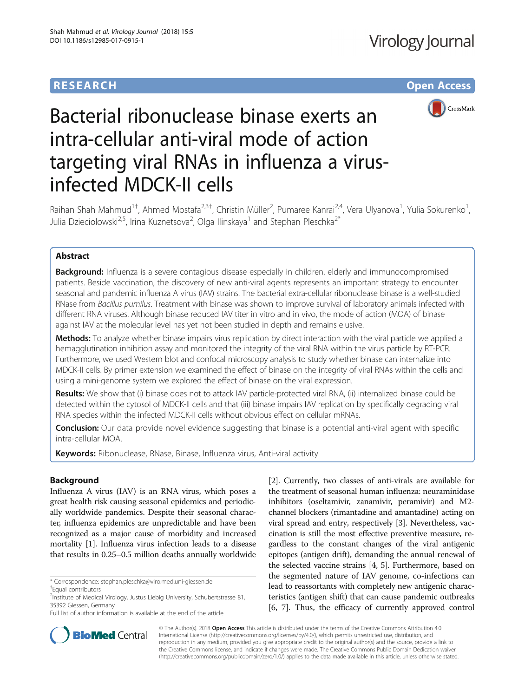# **RESEARCH CHE Open Access**



# Bacterial ribonuclease binase exerts an intra-cellular anti-viral mode of action targeting viral RNAs in influenza a virusinfected MDCK-II cells

Raihan Shah Mahmud<sup>1†</sup>, Ahmed Mostafa<sup>2,3†</sup>, Christin Müller<sup>2</sup>, Pumaree Kanrai<sup>2,4</sup>, Vera Ulyanova<sup>1</sup>, Yulia Sokurenko<sup>1</sup> , Julia Dzieciolowski<sup>2,5</sup>, Irina Kuznetsova<sup>2</sup>, Olga Ilinskaya<sup>1</sup> and Stephan Pleschka<sup>2\*</sup>

# Abstract

Background: Influenza is a severe contagious disease especially in children, elderly and immunocompromised patients. Beside vaccination, the discovery of new anti-viral agents represents an important strategy to encounter seasonal and pandemic influenza A virus (IAV) strains. The bacterial extra-cellular ribonuclease binase is a well-studied RNase from Bacillus pumilus. Treatment with binase was shown to improve survival of laboratory animals infected with different RNA viruses. Although binase reduced IAV titer in vitro and in vivo, the mode of action (MOA) of binase against IAV at the molecular level has yet not been studied in depth and remains elusive.

Methods: To analyze whether binase impairs virus replication by direct interaction with the viral particle we applied a hemagglutination inhibition assay and monitored the integrity of the viral RNA within the virus particle by RT-PCR. Furthermore, we used Western blot and confocal microscopy analysis to study whether binase can internalize into MDCK-II cells. By primer extension we examined the effect of binase on the integrity of viral RNAs within the cells and using a mini-genome system we explored the effect of binase on the viral expression.

Results: We show that (i) binase does not to attack IAV particle-protected viral RNA, (ii) internalized binase could be detected within the cytosol of MDCK-II cells and that (iii) binase impairs IAV replication by specifically degrading viral RNA species within the infected MDCK-II cells without obvious effect on cellular mRNAs.

Conclusion: Our data provide novel evidence suggesting that binase is a potential anti-viral agent with specific intra-cellular MOA.

Keywords: Ribonuclease, RNase, Binase, Influenza virus, Anti-viral activity

# Background

Influenza A virus (IAV) is an RNA virus, which poses a great health risk causing seasonal epidemics and periodically worldwide pandemics. Despite their seasonal character, influenza epidemics are unpredictable and have been recognized as a major cause of morbidity and increased mortality [\[1](#page-10-0)]. Influenza virus infection leads to a disease that results in 0.25–0.5 million deaths annually worldwide

[[2\]](#page-10-0). Currently, two classes of anti-virals are available for the treatment of seasonal human influenza: neuraminidase inhibitors (oseltamivir, zanamivir, peramivir) and M2 channel blockers (rimantadine and amantadine) acting on viral spread and entry, respectively [\[3](#page-10-0)]. Nevertheless, vaccination is still the most effective preventive measure, regardless to the constant changes of the viral antigenic epitopes (antigen drift), demanding the annual renewal of the selected vaccine strains [[4, 5\]](#page-10-0). Furthermore, based on the segmented nature of IAV genome, co-infections can lead to reassortants with completely new antigenic characteristics (antigen shift) that can cause pandemic outbreaks [[6, 7](#page-10-0)]. Thus, the efficacy of currently approved control



© The Author(s). 2018 Open Access This article is distributed under the terms of the Creative Commons Attribution 4.0 International License [\(http://creativecommons.org/licenses/by/4.0/](http://creativecommons.org/licenses/by/4.0/)), which permits unrestricted use, distribution, and reproduction in any medium, provided you give appropriate credit to the original author(s) and the source, provide a link to the Creative Commons license, and indicate if changes were made. The Creative Commons Public Domain Dedication waiver [\(http://creativecommons.org/publicdomain/zero/1.0/](http://creativecommons.org/publicdomain/zero/1.0/)) applies to the data made available in this article, unless otherwise stated.

<sup>\*</sup> Correspondence: [stephan.pleschka@viro.med.uni-giessen.de](mailto:stephan.pleschka@viro.med.uni-giessen.de) †

Equal contributors

<sup>&</sup>lt;sup>2</sup>Institute of Medical Virology, Justus Liebig University, Schubertstrasse 81, 35392 Giessen, Germany

Full list of author information is available at the end of the article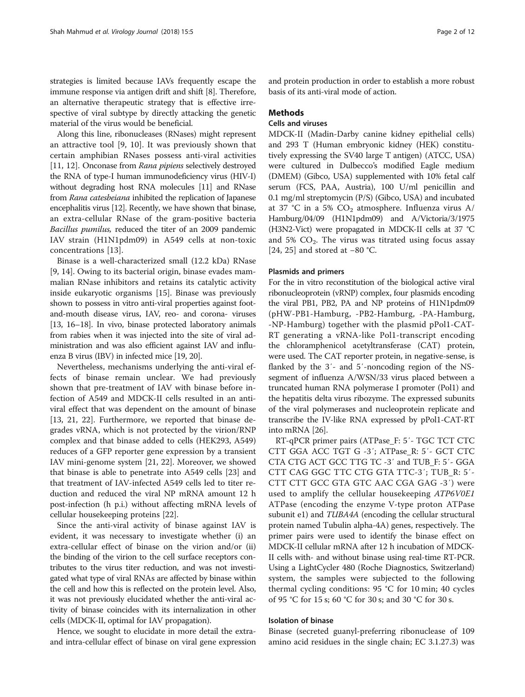strategies is limited because IAVs frequently escape the immune response via antigen drift and shift [\[8](#page-10-0)]. Therefore, an alternative therapeutic strategy that is effective irrespective of viral subtype by directly attacking the genetic material of the virus would be beneficial.

Along this line, ribonucleases (RNases) might represent an attractive tool [[9, 10\]](#page-10-0). It was previously shown that certain amphibian RNases possess anti-viral activities [[11, 12](#page-10-0)]. Onconase from Rana pipiens selectively destroyed the RNA of type-I human immunodeficiency virus (HIV-I) without degrading host RNA molecules [\[11\]](#page-10-0) and RNase from Rana catesbeiana inhibited the replication of Japanese encephalitis virus [[12\]](#page-10-0). Recently, we have shown that binase, an extra-cellular RNase of the gram-positive bacteria Bacillus pumilus, reduced the titer of an 2009 pandemic IAV strain (H1N1pdm09) in A549 cells at non-toxic concentrations [[13\]](#page-10-0).

Binase is a well-characterized small (12.2 kDa) RNase [[9, 14\]](#page-10-0). Owing to its bacterial origin, binase evades mammalian RNase inhibitors and retains its catalytic activity inside eukaryotic organisms [[15\]](#page-10-0). Binase was previously shown to possess in vitro anti-viral properties against footand-mouth disease virus, IAV, reo- and corona- viruses [[13](#page-10-0), [16](#page-10-0)–[18](#page-10-0)]. In vivo, binase protected laboratory animals from rabies when it was injected into the site of viral administration and was also efficient against IAV and influenza B virus (IBV) in infected mice [[19](#page-10-0), [20](#page-10-0)].

Nevertheless, mechanisms underlying the anti-viral effects of binase remain unclear. We had previously shown that pre-treatment of IAV with binase before infection of A549 and MDCK-II cells resulted in an antiviral effect that was dependent on the amount of binase [[13, 21](#page-10-0), [22\]](#page-10-0). Furthermore, we reported that binase degrades vRNA, which is not protected by the virion/RNP complex and that binase added to cells (HEK293, A549) reduces of a GFP reporter gene expression by a transient IAV mini-genome system [[21, 22\]](#page-10-0). Moreover, we showed that binase is able to penetrate into A549 cells [[23\]](#page-10-0) and that treatment of IAV-infected A549 cells led to titer reduction and reduced the viral NP mRNA amount 12 h post-infection (h p.i.) without affecting mRNA levels of cellular housekeeping proteins [\[22](#page-10-0)].

Since the anti-viral activity of binase against IAV is evident, it was necessary to investigate whether (i) an extra-cellular effect of binase on the virion and/or (ii) the binding of the virion to the cell surface receptors contributes to the virus titer reduction, and was not investigated what type of viral RNAs are affected by binase within the cell and how this is reflected on the protein level. Also, it was not previously elucidated whether the anti-viral activity of binase coincides with its internalization in other cells (MDCK-II, optimal for IAV propagation).

Hence, we sought to elucidate in more detail the extraand intra-cellular effect of binase on viral gene expression and protein production in order to establish a more robust basis of its anti-viral mode of action.

#### Methods

# Cells and viruses

MDCK-II (Madin-Darby canine kidney epithelial cells) and 293 T (Human embryonic kidney (HEK) constitutively expressing the SV40 large T antigen) (ATCC, USA) were cultured in Dulbecco's modified Eagle medium (DMEM) (Gibco, USA) supplemented with 10% fetal calf serum (FCS, PAA, Austria), 100 U/ml penicillin and 0.1 mg/ml streptomycin (P/S) (Gibco, USA) and incubated at 37 °C in a 5%  $CO<sub>2</sub>$  atmosphere. Influenza virus A/ Hamburg/04/09 (H1N1pdm09) and A/Victoria/3/1975 (H3N2-Vict) were propagated in MDCK-II cells at 37 °C and  $5\%$   $CO<sub>2</sub>$ . The virus was titrated using focus assay [[24, 25](#page-10-0)] and stored at −80 °C.

#### Plasmids and primers

For the in vitro reconstitution of the biological active viral ribonucleoprotein (vRNP) complex, four plasmids encoding the viral PB1, PB2, PA and NP proteins of H1N1pdm09 (pHW-PB1-Hamburg, -PB2-Hamburg, -PA-Hamburg, -NP-Hamburg) together with the plasmid pPol1-CAT-RT generating a vRNA-like Pol1-transcript encoding the chloramphenicol acetyltransferase (CAT) protein, were used. The CAT reporter protein, in negative-sense, is flanked by the 3′- and 5′-noncoding region of the NSsegment of influenza A/WSN/33 virus placed between a truncated human RNA polymerase I promoter (Pol1) and the hepatitis delta virus ribozyme. The expressed subunits of the viral polymerases and nucleoprotein replicate and transcribe the IV-like RNA expressed by pPol1-CAT-RT into mRNA [\[26\]](#page-10-0).

RT-qPCR primer pairs (ATPase\_F: 5′- TGC TCT CTC CTT GGA ACC TGT G -3′; ATPase\_R: 5′- GCT CTC CTA CTG ACT GCC TTG TC -3′ and TUB\_F: 5′- GGA CTT CAG GGC TTC CTG GTA TTC-3′; TUB\_R: 5′- CTT CTT GCC GTA GTC AAC CGA GAG -3′) were used to amplify the cellular housekeeping ATP6V0E1 ATPase (encoding the enzyme V-type proton ATPase subunit e1) and TUBA4A (encoding the cellular structural protein named Tubulin alpha-4A) genes, respectively. The primer pairs were used to identify the binase effect on MDCK-II cellular mRNA after 12 h incubation of MDCK-II cells with- and without binase using real-time RT-PCR. Using a LightCycler 480 (Roche Diagnostics, Switzerland) system, the samples were subjected to the following thermal cycling conditions: 95 °C for 10 min; 40 cycles of 95 °C for 15 s; 60 °C for 30 s; and 30 °C for 30 s.

# Isolation of binase

Binase (secreted guanyl-preferring ribonuclease of 109 amino acid residues in the single chain; EC 3.1.27.3) was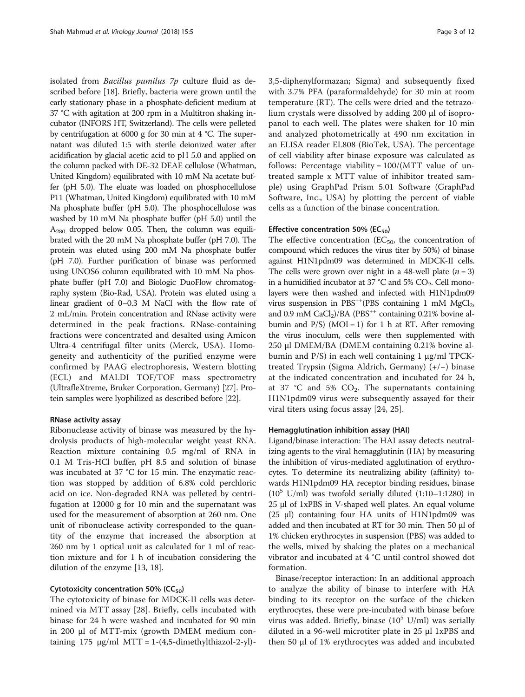isolated from Bacillus pumilus 7p culture fluid as described before [\[18](#page-10-0)]. Briefly, bacteria were grown until the early stationary phase in a phosphate-deficient medium at 37 °C with agitation at 200 rpm in a Multitron shaking incubator (INFORS HT, Switzerland). The cells were pelleted by centrifugation at 6000 g for 30 min at 4 °C. The supernatant was diluted 1:5 with sterile deionized water after acidification by glacial acetic acid to pH 5.0 and applied on the column packed with DE-32 DEAE cellulose (Whatman, United Kingdom) equilibrated with 10 mM Na acetate buffer (pH 5.0). The eluate was loaded on phosphocellulose P11 (Whatman, United Kingdom) equilibrated with 10 mM Na phosphate buffer (pH 5.0). The phosphocellulose was washed by 10 mM Na phosphate buffer (pH 5.0) until the  $A_{280}$  dropped below 0.05. Then, the column was equilibrated with the 20 mM Na phosphate buffer (pH 7.0). The protein was eluted using 200 mM Na phosphate buffer (pH 7.0). Further purification of binase was performed using UNOS6 column equilibrated with 10 mM Na phosphate buffer (pH 7.0) and Biologic DuoFlow chromatography system (Bio-Rad, USA). Protein was eluted using a linear gradient of 0–0.3 M NaCl with the flow rate of 2 mL/min. Protein concentration and RNase activity were determined in the peak fractions. RNase-containing fractions were concentrated and desalted using Amicon Ultra-4 centrifugal filter units (Merck, USA). Homogeneity and authenticity of the purified enzyme were confirmed by PAAG electrophoresis, Western blotting (ECL) and MALDI TOF/TOF mass spectrometry (UltrafleXtreme, Bruker Corporation, Germany) [\[27\]](#page-10-0). Protein samples were lyophilized as described before [\[22](#page-10-0)].

#### RNase activity assay

Ribonuclease activity of binase was measured by the hydrolysis products of high-molecular weight yeast RNA. Reaction mixture containing 0.5 mg/ml of RNA in 0.1 M Tris-HCl buffer, pH 8.5 and solution of binase was incubated at 37 °C for 15 min. The enzymatic reaction was stopped by addition of 6.8% cold perchloric acid on ice. Non-degraded RNA was pelleted by centrifugation at 12000 g for 10 min and the supernatant was used for the measurement of absorption at 260 nm. One unit of ribonuclease activity corresponded to the quantity of the enzyme that increased the absorption at 260 nm by 1 optical unit as calculated for 1 ml of reaction mixture and for 1 h of incubation considering the dilution of the enzyme [\[13](#page-10-0), [18](#page-10-0)].

#### Cytotoxicity concentration 50% ( $CC_{50}$ )

The cytotoxicity of binase for MDCK-II cells was determined via MTT assay [[28\]](#page-10-0). Briefly, cells incubated with binase for 24 h were washed and incubated for 90 min in 200 μl of MTT-mix (growth DMEM medium containing 175 μg/ml MTT = 1-(4,5-dimethylthiazol-2-yl)- 3,5-diphenylformazan; Sigma) and subsequently fixed with 3.7% PFA (paraformaldehyde) for 30 min at room temperature (RT). The cells were dried and the tetrazolium crystals were dissolved by adding 200 μl of isopropanol to each well. The plates were shaken for 10 min and analyzed photometrically at 490 nm excitation in an ELISA reader EL808 (BioTek, USA). The percentage of cell viability after binase exposure was calculated as follows: Percentage viability =  $100/(MTT)$  value of untreated sample x MTT value of inhibitor treated sample) using GraphPad Prism 5.01 Software (GraphPad Software, Inc., USA) by plotting the percent of viable cells as a function of the binase concentration.

#### Effective concentration 50% (EC $_{50}$ )

The effective concentration ( $EC_{50}$ , the concentration of compound which reduces the virus titer by 50%) of binase against H1N1pdm09 was determined in MDCK-II cells. The cells were grown over night in a 48-well plate  $(n = 3)$ in a humidified incubator at 37 °C and 5%  $CO_2$ . Cell monolayers were then washed and infected with H1N1pdm09 virus suspension in PBS<sup>++</sup>(PBS containing 1 mM MgCl<sub>2</sub>, and 0.9 mM CaCl<sub>2</sub>)/BA (PBS<sup>++</sup> containing 0.21% bovine albumin and  $P/S$ ) (MOI = 1) for 1 h at RT. After removing the virus inoculum, cells were then supplemented with 250 μl DMEM/BA (DMEM containing 0.21% bovine albumin and P/S) in each well containing 1 μg/ml TPCKtreated Trypsin (Sigma Aldrich, Germany) (+/−) binase at the indicated concentration and incubated for 24 h, at 37 °C and 5%  $CO<sub>2</sub>$ . The supernatants containing H1N1pdm09 virus were subsequently assayed for their viral titers using focus assay [[24, 25\]](#page-10-0).

#### Hemagglutination inhibition assay (HAI)

Ligand/binase interaction: The HAI assay detects neutralizing agents to the viral hemagglutinin (HA) by measuring the inhibition of virus-mediated agglutination of erythrocytes. To determine its neutralizing ability (affinity) towards H1N1pdm09 HA receptor binding residues, binase  $(10^5 \text{ U/ml})$  was twofold serially diluted  $(1:10-1:1280)$  in 25 μl of 1xPBS in V-shaped well plates. An equal volume (25 μl) containing four HA units of H1N1pdm09 was added and then incubated at RT for 30 min. Then 50 μl of 1% chicken erythrocytes in suspension (PBS) was added to the wells, mixed by shaking the plates on a mechanical vibrator and incubated at 4 °C until control showed dot formation.

Binase/receptor interaction: In an additional approach to analyze the ability of binase to interfere with HA binding to its receptor on the surface of the chicken erythrocytes, these were pre-incubated with binase before virus was added. Briefly, binase  $(10^5 \text{ U/ml})$  was serially diluted in a 96-well microtiter plate in 25 μl 1xPBS and then 50 μl of 1% erythrocytes was added and incubated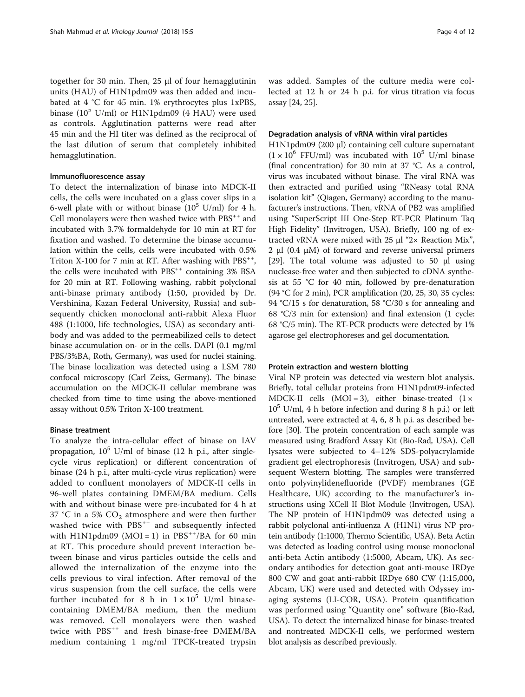together for 30 min. Then, 25 μl of four hemagglutinin units (HAU) of H1N1pdm09 was then added and incubated at 4 °C for 45 min. 1% erythrocytes plus 1xPBS, binase (10<sup>5</sup> U/ml) or H1N1pdm09 (4 HAU) were used as controls. Agglutination patterns were read after 45 min and the HI titer was defined as the reciprocal of the last dilution of serum that completely inhibited hemagglutination.

# Immunofluorescence assay

To detect the internalization of binase into MDCK-II cells, the cells were incubated on a glass cover slips in a 6-well plate with or without binase  $(10^5 \text{ U/ml})$  for 4 h. Cell monolayers were then washed twice with PBS<sup>++</sup> and incubated with 3.7% formaldehyde for 10 min at RT for fixation and washed. To determine the binase accumulation within the cells, cells were incubated with 0.5% Triton X-100 for 7 min at RT. After washing with  $PBS^{++}$ , the cells were incubated with  $PBS^{++}$  containing 3% BSA for 20 min at RT. Following washing, rabbit polyclonal anti-binase primary antibody (1:50, provided by Dr. Vershinina, Kazan Federal University, Russia) and subsequently chicken monoclonal anti-rabbit Alexa Fluor 488 (1:1000, life technologies, USA) as secondary antibody and was added to the permeabilized cells to detect binase accumulation on- or in the cells. DAPI (0.1 mg/ml PBS/3%BA, Roth, Germany), was used for nuclei staining. The binase localization was detected using a LSM 780 confocal microscopy (Carl Zeiss, Germany). The binase accumulation on the MDCK-II cellular membrane was checked from time to time using the above-mentioned assay without 0.5% Triton X-100 treatment.

#### Binase treatment

To analyze the intra-cellular effect of binase on IAV propagation,  $10^5$  U/ml of binase (12 h p.i., after singlecycle virus replication) or different concentration of binase (24 h p.i., after multi-cycle virus replication) were added to confluent monolayers of MDCK-II cells in 96-well plates containing DMEM/BA medium. Cells with and without binase were pre-incubated for 4 h at 37 °C in a 5%  $CO<sub>2</sub>$  atmosphere and were then further washed twice with PBS<sup>++</sup> and subsequently infected with H1N1pdm09 (MOI = 1) in PBS<sup>++</sup>/BA for 60 min at RT. This procedure should prevent interaction between binase and virus particles outside the cells and allowed the internalization of the enzyme into the cells previous to viral infection. After removal of the virus suspension from the cell surface, the cells were further incubated for 8 h in  $1 \times 10^5$  U/ml binasecontaining DMEM/BA medium, then the medium was removed. Cell monolayers were then washed twice with PBS<sup>++</sup> and fresh binase-free DMEM/BA medium containing 1 mg/ml TPCK-treated trypsin

was added. Samples of the culture media were collected at 12 h or 24 h p.i. for virus titration via focus assay [[24](#page-10-0), [25\]](#page-10-0).

#### Degradation analysis of vRNA within viral particles

H1N1pdm09 (200 μl) containing cell culture supernatant  $(1 \times 10^6$  FFU/ml) was incubated with  $10^5$  U/ml binase (final concentration) for 30 min at 37 °C. As a control, virus was incubated without binase. The viral RNA was then extracted and purified using "RNeasy total RNA isolation kit" (Qiagen, Germany) according to the manufacturer's instructions. Then, vRNA of PB2 was amplified using "SuperScript III One-Step RT-PCR Platinum Taq High Fidelity" (Invitrogen, USA). Briefly, 100 ng of extracted vRNA were mixed with 25 μl "2× Reaction Mix", 2 μl (0.4 μM) of forward and reverse universal primers [[29\]](#page-10-0). The total volume was adjusted to 50 μl using nuclease-free water and then subjected to cDNA synthesis at 55 °C for 40 min, followed by pre-denaturation (94 °C for 2 min), PCR amplification (20, 25, 30, 35 cycles: 94 °C/15 s for denaturation, 58 °C/30 s for annealing and 68 °C/3 min for extension) and final extension (1 cycle: 68 °C/5 min). The RT-PCR products were detected by 1% agarose gel electrophoreses and gel documentation.

#### Protein extraction and western blotting

Viral NP protein was detected via western blot analysis. Briefly, total cellular proteins from H1N1pdm09-infected MDCK-II cells (MOI = 3), either binase-treated  $(1 \times$  $10<sup>5</sup>$  U/ml, 4 h before infection and during 8 h p.i.) or left untreated, were extracted at 4, 6, 8 h p.i. as described before [\[30](#page-10-0)]. The protein concentration of each sample was measured using Bradford Assay Kit (Bio-Rad, USA). Cell lysates were subjected to 4–12% SDS-polyacrylamide gradient gel electrophoresis (Invitrogen, USA) and subsequent Western blotting. The samples were transferred onto polyvinylidenefluoride (PVDF) membranes (GE Healthcare, UK) according to the manufacturer's instructions using XCell II Blot Module (Invitrogen, USA). The NP protein of H1N1pdm09 was detected using a rabbit polyclonal anti-influenza A (H1N1) virus NP protein antibody (1:1000, Thermo Scientific, USA). Beta Actin was detected as loading control using mouse monoclonal anti-beta Actin antibody (1:5000, Abcam, UK). As secondary antibodies for detection goat anti-mouse IRDye 800 CW and goat anti-rabbit IRDye 680 CW (1:15,000, Abcam, UK) were used and detected with Odyssey imaging systems (LI-COR, USA). Protein quantification was performed using "Quantity one" software (Bio-Rad, USA). To detect the internalized binase for binase-treated and nontreated MDCK-II cells, we performed western blot analysis as described previously.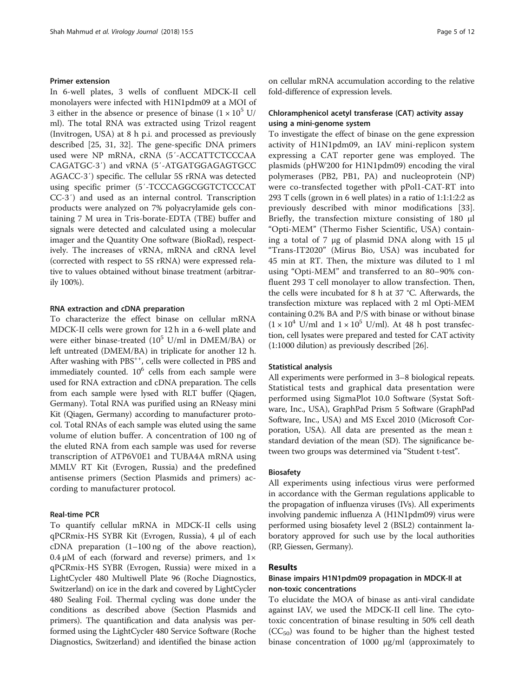# Primer extension

In 6-well plates, 3 wells of confluent MDCK-II cell monolayers were infected with H1N1pdm09 at a MOI of 3 either in the absence or presence of binase  $(1 \times 10^5 \text{ U})$ ml). The total RNA was extracted using Trizol reagent (Invitrogen, USA) at 8 h p.i. and processed as previously described [[25, 31](#page-10-0), [32\]](#page-10-0). The gene-specific DNA primers used were NP mRNA, cRNA (5′-ACCATTCTCCCAA CAGATGC-3′) and vRNA (5′-ATGATGGAGAGTGCC AGACC-3′) specific. The cellular 5S rRNA was detected using specific primer (5′-TCCCAGGCGGTCTCCCAT CC-3′) and used as an internal control. Transcription products were analyzed on 7% polyacrylamide gels containing 7 M urea in Tris-borate-EDTA (TBE) buffer and signals were detected and calculated using a molecular imager and the Quantity One software (BioRad), respectively. The increases of vRNA, mRNA and cRNA level (corrected with respect to 5S rRNA) were expressed relative to values obtained without binase treatment (arbitrarily 100%).

#### RNA extraction and cDNA preparation

To characterize the effect binase on cellular mRNA MDCK-II cells were grown for 12 h in a 6-well plate and were either binase-treated  $(10^5 \text{ U/ml in DMEM/BA})$  or left untreated (DMEM/BA) in triplicate for another 12 h. After washing with PBS<sup>++</sup>, cells were collected in PBS and immediately counted.  $10^6$  cells from each sample were used for RNA extraction and cDNA preparation. The cells from each sample were lysed with RLT buffer (Qiagen, Germany). Total RNA was purified using an RNeasy mini Kit (Qiagen, Germany) according to manufacturer protocol. Total RNAs of each sample was eluted using the same volume of elution buffer. A concentration of 100 ng of the eluted RNA from each sample was used for reverse transcription of ATP6V0E1 and TUBA4A mRNA using MMLV RT Kit (Evrogen, Russia) and the predefined antisense primers (Section Plasmids and primers) according to manufacturer protocol.

# Real-time PCR

To quantify cellular mRNA in MDCK-II cells using qPCRmix-HS SYBR Kit (Evrogen, Russia), 4 μl of each cDNA preparation (1–100 ng of the above reaction), 0.4  $\mu$ M of each (forward and reverse) primers, and 1 $\times$ qPCRmix-HS SYBR (Evrogen, Russia) were mixed in a LightCycler 480 Multiwell Plate 96 (Roche Diagnostics, Switzerland) on ice in the dark and covered by LightCycler 480 Sealing Foil. Thermal cycling was done under the conditions as described above (Section Plasmids and primers). The quantification and data analysis was performed using the LightCycler 480 Service Software (Roche Diagnostics, Switzerland) and identified the binase action

on cellular mRNA accumulation according to the relative fold-difference of expression levels.

# Chloramphenicol acetyl transferase (CAT) activity assay using a mini-genome system

To investigate the effect of binase on the gene expression activity of H1N1pdm09, an IAV mini-replicon system expressing a CAT reporter gene was employed. The plasmids (pHW200 for H1N1pdm09) encoding the viral polymerases (PB2, PB1, PA) and nucleoprotein (NP) were co-transfected together with pPol1-CAT-RT into 293 T cells (grown in 6 well plates) in a ratio of 1:1:1:2:2 as previously described with minor modifications [\[33](#page-10-0)]. Briefly, the transfection mixture consisting of 180 μl "Opti-MEM" (Thermo Fisher Scientific, USA) containing a total of 7 μg of plasmid DNA along with 15 μl "Trans-IT2020" (Mirus Bio, USA) was incubated for 45 min at RT. Then, the mixture was diluted to 1 ml using "Opti-MEM" and transferred to an 80–90% confluent 293 T cell monolayer to allow transfection. Then, the cells were incubated for 8 h at 37 °C. Afterwards, the transfection mixture was replaced with 2 ml Opti-MEM containing 0.2% BA and P/S with binase or without binase  $(1 \times 10^4$  U/ml and  $1 \times 10^5$  U/ml). At 48 h post transfection, cell lysates were prepared and tested for CAT activity (1:1000 dilution) as previously described [\[26\]](#page-10-0).

#### Statistical analysis

All experiments were performed in 3–8 biological repeats. Statistical tests and graphical data presentation were performed using SigmaPlot 10.0 Software (Systat Software, Inc., USA), GraphPad Prism 5 Software (GraphPad Software, Inc., USA) and MS Excel 2010 (Microsoft Corporation, USA). All data are presented as the mean  $\pm$ standard deviation of the mean (SD). The significance between two groups was determined via "Student t-test".

#### **Biosafety**

All experiments using infectious virus were performed in accordance with the German regulations applicable to the propagation of influenza viruses (IVs). All experiments involving pandemic influenza A (H1N1pdm09) virus were performed using biosafety level 2 (BSL2) containment laboratory approved for such use by the local authorities (RP, Giessen, Germany).

#### Results

# Binase impairs H1N1pdm09 propagation in MDCK-II at non-toxic concentrations

To elucidate the MOA of binase as anti-viral candidate against IAV, we used the MDCK-II cell line. The cytotoxic concentration of binase resulting in 50% cell death  $(CC<sub>50</sub>)$  was found to be higher than the highest tested binase concentration of 1000 μg/ml (approximately to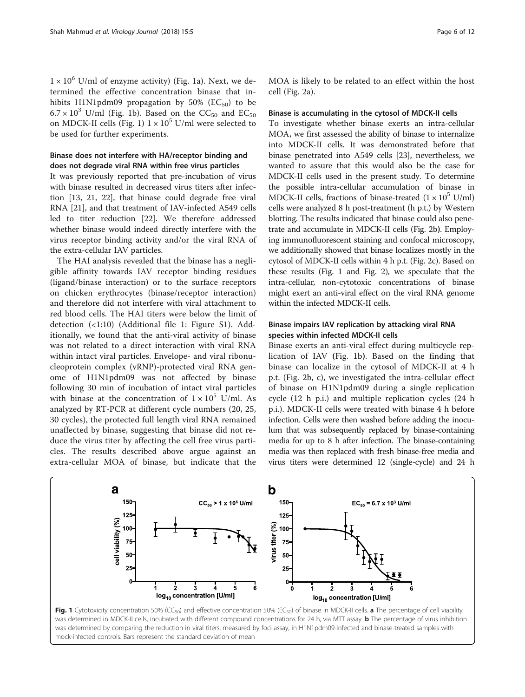$1 \times 10^6$  U/ml of enzyme activity) (Fig. 1a). Next, we determined the effective concentration binase that inhibits H1N1pdm09 propagation by 50% ( $EC_{50}$ ) to be  $6.7 \times 10^3$  U/ml (Fig. 1b). Based on the CC<sub>50</sub> and EC<sub>50</sub> on MDCK-II cells (Fig. 1)  $1 \times 10^5$  U/ml were selected to be used for further experiments.

# Binase does not interfere with HA/receptor binding and does not degrade viral RNA within free virus particles

It was previously reported that pre-incubation of virus with binase resulted in decreased virus titers after infection [\[13](#page-10-0), [21](#page-10-0), [22](#page-10-0)], that binase could degrade free viral RNA [\[21](#page-10-0)], and that treatment of IAV-infected A549 cells led to titer reduction [[22](#page-10-0)]. We therefore addressed whether binase would indeed directly interfere with the virus receptor binding activity and/or the viral RNA of the extra-cellular IAV particles.

The HAI analysis revealed that the binase has a negligible affinity towards IAV receptor binding residues (ligand/binase interaction) or to the surface receptors on chicken erythrocytes (binase/receptor interaction) and therefore did not interfere with viral attachment to red blood cells. The HAI titers were below the limit of detection (<1:10) (Additional file [1:](#page-9-0) Figure S1). Additionally, we found that the anti-viral activity of binase was not related to a direct interaction with viral RNA within intact viral particles. Envelope- and viral ribonucleoprotein complex (vRNP)-protected viral RNA genome of H1N1pdm09 was not affected by binase following 30 min of incubation of intact viral particles with binase at the concentration of  $1 \times 10^5$  U/ml. As analyzed by RT-PCR at different cycle numbers (20, 25, 30 cycles), the protected full length viral RNA remained unaffected by binase, suggesting that binase did not reduce the virus titer by affecting the cell free virus particles. The results described above argue against an extra-cellular MOA of binase, but indicate that the MOA is likely to be related to an effect within the host cell (Fig. [2a\)](#page-6-0).

#### Binase is accumulating in the cytosol of MDCK-II cells

To investigate whether binase exerts an intra-cellular MOA, we first assessed the ability of binase to internalize into MDCK-II cells. It was demonstrated before that binase penetrated into A549 cells [[23](#page-10-0)], nevertheless, we wanted to assure that this would also be the case for MDCK-II cells used in the present study. To determine the possible intra-cellular accumulation of binase in MDCK-II cells, fractions of binase-treated  $(1 \times 10^5 \text{ U/ml})$ cells were analyzed 8 h post-treatment (h p.t.) by Western blotting. The results indicated that binase could also penetrate and accumulate in MDCK-II cells (Fig. [2b](#page-6-0)). Employing immunofluorescent staining and confocal microscopy, we additionally showed that binase localizes mostly in the cytosol of MDCK-II cells within 4 h p.t. (Fig. [2c](#page-6-0)). Based on these results (Fig. 1 and Fig. [2](#page-6-0)), we speculate that the intra-cellular, non-cytotoxic concentrations of binase might exert an anti-viral effect on the viral RNA genome within the infected MDCK-II cells.

# Binase impairs IAV replication by attacking viral RNA species within infected MDCK-II cells

Binase exerts an anti-viral effect during multicycle replication of IAV (Fig. 1b). Based on the finding that binase can localize in the cytosol of MDCK-II at 4 h p.t. (Fig. [2b, c\)](#page-6-0), we investigated the intra-cellular effect of binase on H1N1pdm09 during a single replication cycle (12 h p.i.) and multiple replication cycles (24 h p.i.). MDCK-II cells were treated with binase 4 h before infection. Cells were then washed before adding the inoculum that was subsequently replaced by binase-containing media for up to 8 h after infection. The binase-containing media was then replaced with fresh binase-free media and virus titers were determined 12 (single-cycle) and 24 h



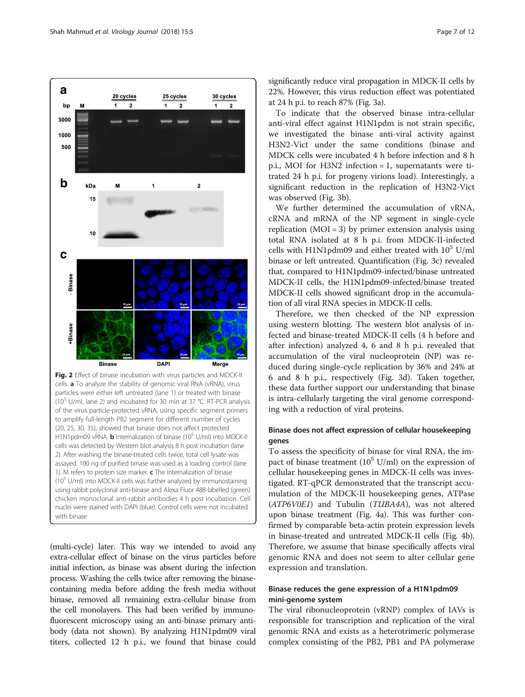<span id="page-6-0"></span>

(multi-cycle) later. This way we intended to avoid any extra-cellular effect of binase on the virus particles before initial infection, as binase was absent during the infection process. Washing the cells twice after removing the binasecontaining media before adding the fresh media without binase, removed all remaining extra-cellular binase from the cell monolayers. This had been verified by immunofluorescent microscopy using an anti-binase primary antibody (data not shown). By analyzing H1N1pdm09 viral titers, collected 12 h p.i., we found that binase could

significantly reduce viral propagation in MDCK-II cells by 22%. However, this virus reduction effect was potentiated at 24 h p.i. to reach 87% (Fig. [3a](#page-7-0)).

To indicate that the observed binase intra-cellular anti-viral effect against H1N1pdm is not strain specific, we investigated the binase anti-viral activity against H3N2-Vict under the same conditions (binase and MDCK cells were incubated 4 h before infection and 8 h p.i., MOI for H3N2 infection = 1, supernatants were titrated 24 h p.i. for progeny virions load). Interestingly, a significant reduction in the replication of H3N2-Vict was observed (Fig. [3b\)](#page-7-0).

We further determined the accumulation of vRNA, cRNA and mRNA of the NP segment in single-cycle replication  $(MOI = 3)$  by primer extension analysis using total RNA isolated at 8 h p.i. from MDCK-II-infected cells with H1N1pdm09 and either treated with  $10^5$  U/ml binase or left untreated. Quantification (Fig. [3c\)](#page-7-0) revealed that, compared to H1N1pdm09-infected/binase untreated MDCK-II cells, the H1N1pdm09-infected/binase treated MDCK-II cells showed significant drop in the accumulation of all viral RNA species in MDCK-II cells.

Therefore, we then checked of the NP expression using western blotting. The western blot analysis of infected and binase-treated MDCK-II cells (4 h before and after infection) analyzed 4, 6 and 8 h p.i. revealed that accumulation of the viral nucleoprotein (NP) was reduced during single-cycle replication by 36% and 24% at 6 and 8 h p.i., respectively (Fig. [3d](#page-7-0)). Taken together, these data further support our understanding that binase is intra-cellularly targeting the viral genome corresponding with a reduction of viral proteins.

# Binase does not affect expression of cellular housekeeping genes

To assess the specificity of binase for viral RNA, the impact of binase treatment  $(10^5 \text{ U/ml})$  on the expression of cellular housekeeping genes in MDCK-II cells was investigated. RT-qPCR demonstrated that the transcript accumulation of the MDCK-II housekeeping genes, ATPase (ATP6V0E1) and Tubulin (TUBA4A), was not altered upon binase treatment (Fig. [4a\)](#page-8-0). This was further confirmed by comparable beta-actin protein expression levels in binase-treated and untreated MDCK-II cells (Fig. [4b](#page-8-0)). Therefore, we assume that binase specifically affects viral genomic RNA and does not seem to alter cellular gene expression and translation.

# Binase reduces the gene expression of a H1N1pdm09 mini-genome system

The viral ribonucleoprotein (vRNP) complex of IAVs is responsible for transcription and replication of the viral genomic RNA and exists as a heterotrimeric polymerase complex consisting of the PB2, PB1 and PA polymerase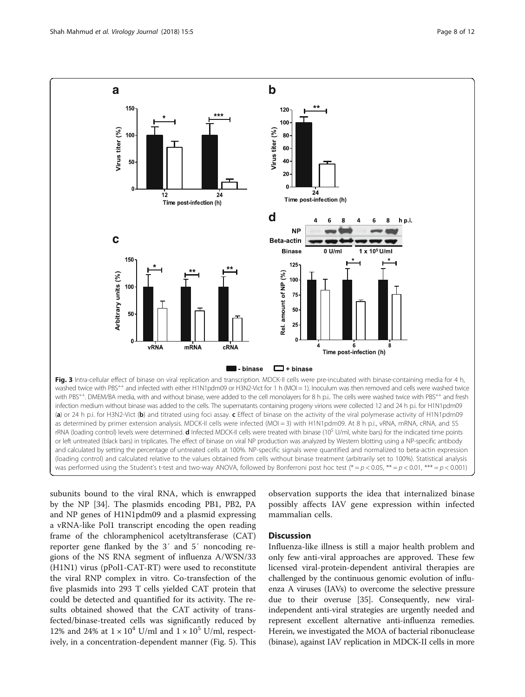<span id="page-7-0"></span>

(a) or 24 h p.i. for H3N2-Vict (b) and titrated using foci assay. c Effect of binase on the activity of the viral polymerase activity of H1N1pdm09 as determined by primer extension analysis. MDCK-II cells were infected (MOI = 3) with H1N1pdm09. At 8 h p.i., vRNA, mRNA, cRNA, and 5S rRNA (loading control) levels were determined.  $d$  Infected MDCK-II cells were treated with binase (10<sup>5</sup> U/ml, white bars) for the indicated time points or left untreated (black bars) in triplicates. The effect of binase on viral NP production was analyzed by Western blotting using a NP-specific antibody and calculated by setting the percentage of untreated cells at 100%. NP-specific signals were quantified and normalized to beta-actin expression (loading control) and calculated relative to the values obtained from cells without binase treatment (arbitrarily set to 100%). Statistical analysis was performed using the Student's t-test and two-way ANOVA, followed by Bonferroni post hoc test (\* =  $p < 0.05$ , \*\* =  $p < 0.01$ , \*\*\* =  $p < 0.001$ )

subunits bound to the viral RNA, which is enwrapped by the NP [\[34](#page-10-0)]. The plasmids encoding PB1, PB2, PA and NP genes of H1N1pdm09 and a plasmid expressing a vRNA-like Pol1 transcript encoding the open reading frame of the chloramphenicol acetyltransferase (CAT) reporter gene flanked by the 3′ and 5′ noncoding regions of the NS RNA segment of influenza A/WSN/33 (H1N1) virus (pPol1-CAT-RT) were used to reconstitute the viral RNP complex in vitro. Co-transfection of the five plasmids into 293 T cells yielded CAT protein that could be detected and quantified for its activity. The results obtained showed that the CAT activity of transfected/binase-treated cells was significantly reduced by 12% and 24% at  $1 \times 10^4$  U/ml and  $1 \times 10^5$  U/ml, respectively, in a concentration-dependent manner (Fig. [5](#page-8-0)). This

observation supports the idea that internalized binase possibly affects IAV gene expression within infected mammalian cells.

# **Discussion**

Influenza-like illness is still a major health problem and only few anti-viral approaches are approved. These few licensed viral-protein-dependent antiviral therapies are challenged by the continuous genomic evolution of influenza A viruses (IAVs) to overcome the selective pressure due to their overuse [\[35\]](#page-10-0). Consequently, new viralindependent anti-viral strategies are urgently needed and represent excellent alternative anti-influenza remedies. Herein, we investigated the MOA of bacterial ribonuclease (binase), against IAV replication in MDCK-II cells in more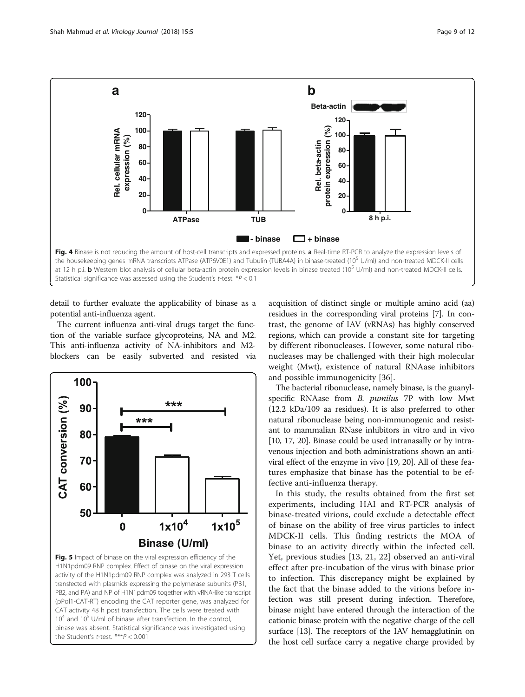<span id="page-8-0"></span>

detail to further evaluate the applicability of binase as a potential anti-influenza agent.

The current influenza anti-viral drugs target the function of the variable surface glycoproteins, NA and M2. This anti-influenza activity of NA-inhibitors and M2 blockers can be easily subverted and resisted via



binase was absent. Statistical significance was investigated using

the Student's t-test. \*\*\*P < 0.001

acquisition of distinct single or multiple amino acid (aa) residues in the corresponding viral proteins [\[7](#page-10-0)]. In contrast, the genome of IAV (vRNAs) has highly conserved regions, which can provide a constant site for targeting by different ribonucleases. However, some natural ribonucleases may be challenged with their high molecular weight (Mwt), existence of natural RNAase inhibitors and possible immunogenicity [[36\]](#page-10-0).

The bacterial ribonuclease, namely binase, is the guanylspecific RNAase from B. pumilus 7P with low Mwt (12.2 kDa/109 aa residues). It is also preferred to other natural ribonuclease being non-immunogenic and resistant to mammalian RNase inhibitors in vitro and in vivo [[10](#page-10-0), [17](#page-10-0), [20\]](#page-10-0). Binase could be used intranasally or by intravenous injection and both administrations shown an antiviral effect of the enzyme in vivo [[19, 20](#page-10-0)]. All of these features emphasize that binase has the potential to be effective anti-influenza therapy.

In this study, the results obtained from the first set experiments, including HAI and RT-PCR analysis of binase-treated virions, could exclude a detectable effect of binase on the ability of free virus particles to infect MDCK-II cells. This finding restricts the MOA of binase to an activity directly within the infected cell. Yet, previous studies [[13, 21, 22](#page-10-0)] observed an anti-viral effect after pre-incubation of the virus with binase prior to infection. This discrepancy might be explained by the fact that the binase added to the virions before infection was still present during infection. Therefore, binase might have entered through the interaction of the cationic binase protein with the negative charge of the cell surface [[13](#page-10-0)]. The receptors of the IAV hemagglutinin on the host cell surface carry a negative charge provided by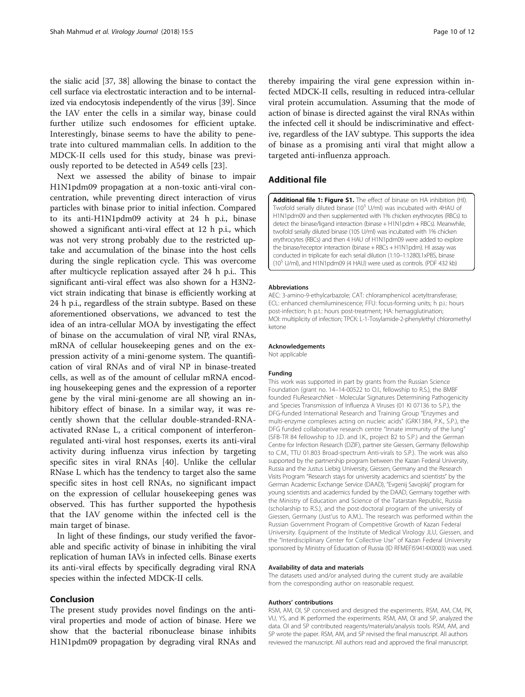<span id="page-9-0"></span>the sialic acid [\[37,](#page-10-0) [38](#page-11-0)] allowing the binase to contact the cell surface via electrostatic interaction and to be internalized via endocytosis independently of the virus [\[39\]](#page-11-0). Since the IAV enter the cells in a similar way, binase could further utilize such endosomes for efficient uptake. Interestingly, binase seems to have the ability to penetrate into cultured mammalian cells. In addition to the MDCK-II cells used for this study, binase was previously reported to be detected in A549 cells [\[23](#page-10-0)].

Next we assessed the ability of binase to impair H1N1pdm09 propagation at a non-toxic anti-viral concentration, while preventing direct interaction of virus particles with binase prior to initial infection. Compared to its anti-H1N1pdm09 activity at 24 h p.i., binase showed a significant anti-viral effect at 12 h p.i., which was not very strong probably due to the restricted uptake and accumulation of the binase into the host cells during the single replication cycle. This was overcome after multicycle replication assayed after 24 h p.i.. This significant anti-viral effect was also shown for a H3N2 vict strain indicating that binase is efficiently working at 24 h p.i., regardless of the strain subtype. Based on these aforementioned observations, we advanced to test the idea of an intra-cellular MOA by investigating the effect of binase on the accumulation of viral NP, viral RNAs, mRNA of cellular housekeeping genes and on the expression activity of a mini-genome system. The quantification of viral RNAs and of viral NP in binase-treated cells, as well as of the amount of cellular mRNA encoding housekeeping genes and the expression of a reporter gene by the viral mini-genome are all showing an inhibitory effect of binase. In a similar way, it was recently shown that the cellular double-stranded-RNAactivated RNase L, a critical component of interferonregulated anti-viral host responses, exerts its anti-viral activity during influenza virus infection by targeting specific sites in viral RNAs [\[40](#page-11-0)]. Unlike the cellular RNase L which has the tendency to target also the same specific sites in host cell RNAs, no significant impact on the expression of cellular housekeeping genes was observed. This has further supported the hypothesis that the IAV genome within the infected cell is the main target of binase.

In light of these findings, our study verified the favorable and specific activity of binase in inhibiting the viral replication of human IAVs in infected cells. Binase exerts its anti-viral effects by specifically degrading viral RNA species within the infected MDCK-II cells.

#### Conclusion

The present study provides novel findings on the antiviral properties and mode of action of binase. Here we show that the bacterial ribonuclease binase inhibits H1N1pdm09 propagation by degrading viral RNAs and thereby impairing the viral gene expression within infected MDCK-II cells, resulting in reduced intra-cellular viral protein accumulation. Assuming that the mode of action of binase is directed against the viral RNAs within the infected cell it should be indiscriminative and effective, regardless of the IAV subtype. This supports the idea of binase as a promising anti viral that might allow a targeted anti-influenza approach.

# Additional file

[Additional file 1: Figure S1.](dx.doi.org/10.1186/s12985-017-0915-1) The effect of binase on HA inhibition (HI). Twofold serially diluted binase (10 $<sup>5</sup>$  U/ml) was incubated with 4HAU of</sup> H1N1pdm09 and then supplemented with 1% chicken erythrocytes (RBCs) to detect the binase/ligand interaction (binase + H1N1pdm + RBCs). Meanwhile, twofold serially diluted binase (105 U/ml) was incubated with 1% chicken erythrocytes (RBCs) and then 4 HAU of H1N1pdm09 were added to explore the binase/receptor interaction (binase + RBCs + H1N1pdm). HI assay was conducted in triplicate for each serial dilution (1:10–1:1280).1xPBS, binase (105 U/ml), and H1N1pdm09 (4 HAU) were used as controls. (PDF 432 kb)

#### Abbreviations

AEC: 3-amino-9-ethylcarbazole; CAT: chloramphenicol acetyltransferase; ECL: enhanced chemiluminescence; FFU: focus-forming units; h p.i.: hours post-infection; h p.t.: hours post-treatment; HA: hemagglutination; MOI: multiplicity of infection; ТРСК: L-1-Tosylamide-2-phenylethyl chloromethyl ketone

#### Acknowledgements

Not applicable

#### Funding

This work was supported in part by grants from the Russian Science Foundation (grant no. 14–14-00522 to O.I., fellowship to R.S.), the BMBF founded FluResearchNet - Molecular Signatures Determining Pathogenicity and Species Transmission of Influenza A Viruses (01 KI 07136 to S.P.), the DFG-funded International Research and Training Group "Enzymes and multi-enzyme complexes acting on nucleic acids" (GRK1384, P.K., S.P.), the DFG funded collaborative research centre "Innate immunity of the lung" (SFB-TR 84 fellowship to J.D. and I.K., project B2 to S.P.) and the German Centre for Infection Research (DZIF), partner site Giessen, Germany (fellowship to C.M., TTU 01.803 Broad-spectrum Anti-virals to S.P.). The work was also supported by the partnership program between the Kazan Federal University, Russia and the Justus Liebig University, Giessen, Germany and the Research Visits Program "Research stays for university academics and scientists" by the German Academic Exchange Service (DAAD), "Evgenij Savojskij" program for young scientists and academics funded by the DAAD, Germany together with the Ministry of Education and Science of the Tatarstan Republic, Russia (scholarship to R.S.), and the post-doctoral program of the university of Giessen, Germany (Just'us to A.M.).. The research was performed within the Russian Government Program of Competitive Growth of Kazan Federal University. Equipment of the Institute of Medical Virology JLU, Giessen, and the "Interdisciplinary Center for Collective Use" of Kazan Federal University sponsored by Ministry of Education of Russia (ID RFMEFI59414X0003) was used.

#### Availability of data and materials

The datasets used and/or analysed during the current study are available from the corresponding author on reasonable request.

#### Authors' contributions

RSM, AM, OI, SP conceived and designed the experiments. RSM, AM, CM, PK, VU, YS, and IK performed the experiments. RSM, AM, OI and SP, analyzed the data. OI and SP contributed reagents/materials/analysis tools. RSM, AM, and SP wrote the paper. RSM, AM, and SP revised the final manuscript. All authors reviewed the manuscript. All authors read and approved the final manuscript.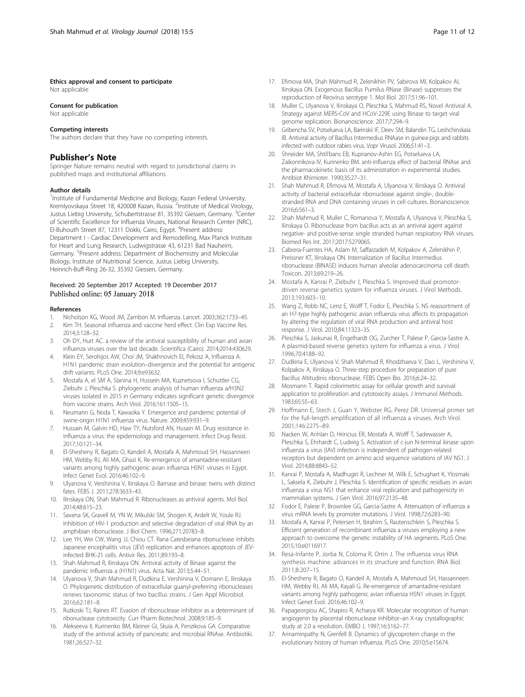#### <span id="page-10-0"></span>Ethics approval and consent to participate Not applicable

#### Consent for publication

Not applicable

#### Competing interests

The authors declare that they have no competing interests.

### Publisher's Note

Springer Nature remains neutral with regard to jurisdictional claims in published maps and institutional affiliations.

#### Author details

<sup>1</sup>Institute of Fundamental Medicine and Biology, Kazan Federal University, Kremlyovskaya Street 18, 420008 Kazan, Russia. <sup>2</sup>Institute of Medical Virology, Justus Liebig University, Schubertstrasse 81, 35392 Giessen, Germany. <sup>3</sup>Center of Scientific Excellence for Influenza Viruses, National Research Center (NRC), El-Buhouth Street 87, 12311 Dokki, Cairo, Egypt. <sup>4</sup>Present address: Department I - Cardiac Development and Remodelling, Max Planck Institute for Heart and Lung Research, Ludwigstrasse 43, 61231 Bad Nauheim, Germany. <sup>5</sup>Present address: Department of Biochemistry and Molecular Biology, Institute of Nutritional Science, Justus Liebig University, Heinrich-Buff-Ring 26-32, 35392 Giessen, Germany.

#### Received: 20 September 2017 Accepted: 19 December 2017 Published online: 05 January 2018

#### References

- 1. Nicholson KG, Wood JM, Zambon M. Influenza. Lancet. 2003;362:1733–45.
- 2. Kim TH. Seasonal influenza and vaccine herd effect. Clin Exp Vaccine Res. 2014;3:128–32.
- 3. Oh DY, Hurt AC. a review of the antiviral susceptibility of human and avian influenza viruses over the last decade. Scientifica (Cairo). 2014;2014:430629.
- 4. Klein EY, Serohijos AW, Choi JM, Shakhnovich EI, Pekosz A, Influenza A. H1N1 pandemic strain evolution–divergence and the potential for antigenic drift variants. PLoS One. 2014;9:e93632.
- 5. Mostafa A, el SM A, Slanina H, Hussein MA, Kuznetsova I, Schuttler CG, Ziebuhr J, Pleschka S. phylogenetic analysis of human influenza a/H3N2 viruses isolated in 2015 in Germany indicates significant genetic divergence from vaccine strains. Arch Virol. 2016;161:1505–15.
- 6. Neumann G, Noda T, Kawaoka Y. Emergence and pandemic potential of swine-origin H1N1 influenza virus. Nature. 2009;459:931–9.
- 7. Hussain M, Galvin HD, Haw TY, Nutsford AN, Husain M. Drug resistance in influenza a virus: the epidemiology and management. Infect Drug Resist. 2017;10:121–34.
- 8. El-Shesheny R, Bagato O, Kandeil A, Mostafa A, Mahmoud SH, Hassanneen HM, Webby RJ, Ali MA, Ghazi K. Re-emergence of amantadine-resistant variants among highly pathogenic avian influenza H5N1 viruses in Egypt. Infect Genet Evol. 2016;46:102–9.
- 9. Ulyanova V, Vershinina V, Ilinskaya O. Barnase and binase: twins with distinct fates. FEBS J. 2011;278:3633–43.
- 10. Ilinskaya ON, Shah Mahmud R. Ribonucleases as antiviral agents. Mol Biol. 2014;48:615–23.
- 11. Saxena SK, Gravell M, YN W, Mikulski SM, Shogen K, Ardelt W, Youle RJ. Inhibition of HIV-1 production and selective degradation of viral RNA by an amphibian ribonuclease. J Biol Chem. 1996;271:20783–8.
- 12. Lee YH, Wei CW, Wang JJ, Chiou CT. Rana Catesbeiana ribonuclease inhibits Japanese encephalitis virus (JEV) replication and enhances apoptosis of JEVinfected BHK-21 cells. Antivir Res. 2011;89:193–8.
- 13. Shah Mahmud R, Ilinskaya ON. Antiviral activity of Binase against the pandemic influenza a (H1N1) virus. Acta Nat. 2013;5:44–51.
- 14. Ulyanova V, Shah Mahmud R, Dudkina E, Vershinina V, Domann E, Ilinskaya O. Phylogenetic distribution of extracellular guanyl-preferring ribonucleases renews taxonomic status of two bacillus strains. J Gen Appl Microbiol. 2016;62:181–8.
- 15. Rutkoski TJ, Raines RT. Evasion of ribonuclease inhibitor as a determinant of ribonuclease cytotoxicity. Curr Pharm Biotechnol. 2008;9:185–9.
- 16. Alekseeva II, Kurinenko BM, Kleiner GI, Skuia A, Penzikova GA. Comparative study of the antiviral activity of pancreatic and microbial RNAse. Antibiotiki. 1981;26:527–32.
- 
- 17. Efimova MA, Shah Mahmud R, Zelenikhin PV, Sabirova MI, Kolpakov AI, Ilinskaya ON. Exogenous Bacillus Pumilus RNase (Binase) suppresses the reproduction of Reovirus serotype 1. Mol Biol. 2017;51:96–101.
- 18. Muller C, Ulyanova V, Ilinskaya O, Pleschka S, Mahmud RS, Novel Antiviral A. Strategy against MERS-CoV and HCoV-229E using Binase to target viral genome replication. Bionanoscience. 2017;7:294–9.
- 19. Gribencha SV, Potselueva LA, Barinskii IF, Deev SM, Balandin TG, Leshchinskaia IB. Antiviral activity of Bacillus Intermedius RNAase in guinea-pigs and rabbits infected with outdoor rabies virus. Vopr Virusol. 2006;51:41–3.
- 20. Shneider MA, Shtil'bans EB, Kuprianov-Ashin EG, Potselueva LA, Zaikonnikova IV, Kurinenko BM. anti-influenza effect of bacterial RNAse and the pharmacokinetic basis of its administration in experimental studies. Antibiot Khimioter. 1990;35:27–31.
- 21. Shah Mahmud R, Efimova M, Mostafa A, Ulyanova V, Ilinskaya O. Antiviral activity of bacterial extracellular ribonuclease against single-, doublestranded RNA and DNA containing viruses in cell cultures. Bionanoscience. 2016;6:561–3.
- 22. Shah Mahmud R, Muller C, Romanova Y, Mostafa A, Ulyanova V, Pleschka S, Ilinskaya O. Ribonuclease from bacillus acts as an antiviral agent against negative- and positive-sense single stranded human respiratory RNA viruses. Biomed Res Int. 2017;2017:5279065.
- 23. Cabrera-Fuentes HA, Aslam M, Saffarzadeh M, Kolpakov A, Zelenikhin P, Preissner KT, Ilinskaya ON. Internalization of Bacillus Intermedius ribonuclease (BINASE) induces human alveolar adenocarcinoma cell death. Toxicon. 2013;69:219–26.
- 24. Mostafa A, Kanrai P, Ziebuhr J, Pleschka S. Improved dual promotordriven reverse genetics system for influenza viruses. J Virol Methods. 2013;193:603–10.
- 25. Wang Z, Robb NC, Lenz E, Wolff T, Fodor E, Pleschka S. NS reassortment of an H7-type highly pathogenic avian influenza virus affects its propagation by altering the regulation of viral RNA production and antiviral host response. J Virol. 2010;84:11323–35.
- 26. Pleschka S, Jaskunas R, Engelhardt OG, Zurcher T, Palese P, Garcia-Sastre A. A plasmid-based reverse genetics system for influenza a virus. J Virol. 1996;70:4188–92.
- 27. Dudkina E, Ulyanova V, Shah Mahmud R, Khodzhaeva V, Dao L, Vershinina V, Kolpakov A, Ilinskaya O. Three-step procedure for preparation of pure Bacillus Altitudinis ribonuclease. FEBS Open Bio. 2016;6:24–32.
- 28. Mosmann T. Rapid colorimetric assay for cellular growth and survival: application to proliferation and cytotoxicity assays. J Immunol Methods. 1983;65:55–63.
- 29. Hoffmann E, Stech J, Guan Y, Webster RG, Perez DR. Universal primer set for the full-length amplification of all influenza a viruses. Arch Virol. 2001;146:2275–89.
- 30. Nacken W, Anhlan D, Hrincius ER, Mostafa A, Wolff T, Sadewasser A, Pleschka S, Ehrhardt C, Ludwig S. Activation of c-jun N-terminal kinase upon influenza a virus (IAV) infection is independent of pathogen-related receptors but dependent on amino acid sequence variations of IAV NS1. J Virol. 2014;88:8843–52.
- 31. Kanrai P, Mostafa A, Madhugiri R, Lechner M, Wilk E, Schughart K, Ylosmaki L, Saksela K, Ziebuhr J, Pleschka S. Identification of specific residues in avian influenza a virus NS1 that enhance viral replication and pathogenicity in mammalian systems. J Gen Virol. 2016;97:2135–48.
- 32. Fodor E, Palese P, Brownlee GG, Garcia-Sastre A. Attenuation of influenza a virus mRNA levels by promoter mutations. J Virol. 1998;72:6283–90.
- 33. Mostafa A, Kanrai P, Petersen H, Ibrahim S, Rautenschlein S, Pleschka S. Efficient generation of recombinant influenza a viruses employing a new approach to overcome the genetic instability of HA segments. PLoS One. 2015;10:e0116917.
- 34. Resa-Infante P, Jorba N, Coloma R, Ortin J. The influenza virus RNA synthesis machine: advances in its structure and function. RNA Biol. 2011;8:207–15.
- 35. El-Shesheny R, Bagato O, Kandeil A, Mostafa A, Mahmoud SH, Hassanneen HM, Webby RJ, Ali MA, Kayali G. Re-emergence of amantadine-resistant variants among highly pathogenic avian influenza H5N1 viruses in Egypt. Infect Genet Evol. 2016;46:102–9.
- 36. Papageorgiou AC, Shapiro R, Acharya KR. Molecular recognition of human angiogenin by placental ribonuclease inhibitor–an X-ray crystallographic study at 2.0 a resolution. EMBO J. 1997;16:5162–77.
- 37. Arinaminpathy N, Grenfell B. Dynamics of glycoprotein charge in the evolutionary history of human influenza. PLoS One. 2010;5:e15674.